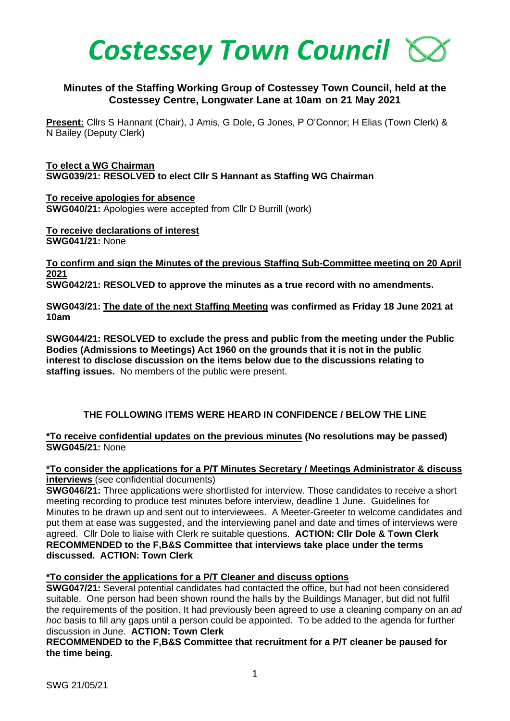

## **Minutes of the Staffing Working Group of Costessey Town Council, held at the Costessey Centre, Longwater Lane at 10am on 21 May 2021**

**Present:** Cllrs S Hannant (Chair), J Amis, G Dole, G Jones, P O'Connor; H Elias (Town Clerk) & N Bailey (Deputy Clerk)

**To elect a WG Chairman SWG039/21: RESOLVED to elect Cllr S Hannant as Staffing WG Chairman**

**To receive apologies for absence SWG040/21:** Apologies were accepted from Cllr D Burrill (work)

**To receive declarations of interest SWG041/21:** None

**To confirm and sign the Minutes of the previous Staffing Sub-Committee meeting on 20 April 2021**

**SWG042/21: RESOLVED to approve the minutes as a true record with no amendments.**

**SWG043/21: The date of the next Staffing Meeting was confirmed as Friday 18 June 2021 at 10am** 

**SWG044/21: RESOLVED to exclude the press and public from the meeting under the Public Bodies (Admissions to Meetings) Act 1960 on the grounds that it is not in the public interest to disclose discussion on the items below due to the discussions relating to staffing issues.** No members of the public were present.

## **THE FOLLOWING ITEMS WERE HEARD IN CONFIDENCE / BELOW THE LINE**

#### **\*To receive confidential updates on the previous minutes (No resolutions may be passed) SWG045/21:** None

**\*To consider the applications for a P/T Minutes Secretary / Meetings Administrator & discuss interviews** (see confidential documents)

**SWG046/21:** Three applications were shortlisted for interview. Those candidates to receive a short meeting recording to produce test minutes before interview, deadline 1 June. Guidelines for Minutes to be drawn up and sent out to interviewees. A Meeter-Greeter to welcome candidates and put them at ease was suggested, and the interviewing panel and date and times of interviews were agreed. Cllr Dole to liaise with Clerk re suitable questions. **ACTION: Cllr Dole & Town Clerk RECOMMENDED to the F,B&S Committee that interviews take place under the terms discussed. ACTION: Town Clerk**

## **\*To consider the applications for a P/T Cleaner and discuss options**

**SWG047/21:** Several potential candidates had contacted the office, but had not been considered suitable. One person had been shown round the halls by the Buildings Manager, but did not fulfil the requirements of the position. It had previously been agreed to use a cleaning company on an *ad hoc* basis to fill any gaps until a person could be appointed. To be added to the agenda for further discussion in June. **ACTION: Town Clerk** 

**RECOMMENDED to the F,B&S Committee that recruitment for a P/T cleaner be paused for the time being.**